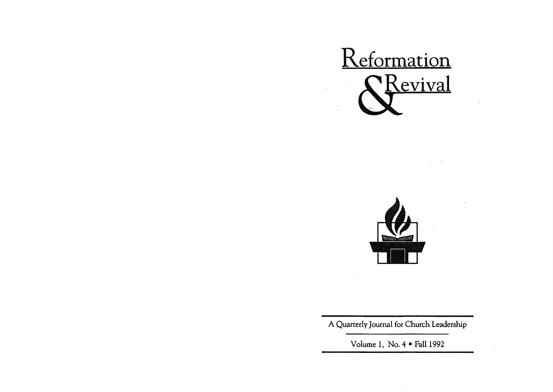



A Quarterly Journal for Church Leadership

Volume 1, No.  $4 \cdot \text{Fall } 1992$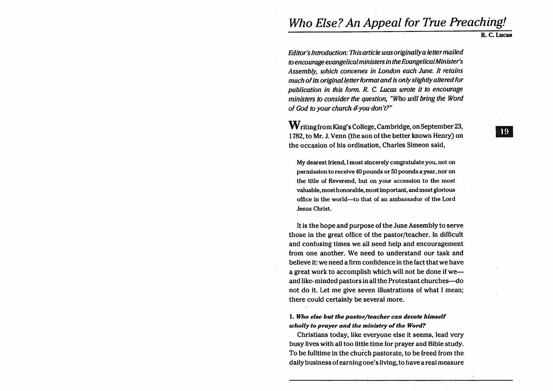# Who Else? An Appeal for True Preaching!

R. C. Lucas

Editor's Introduction: This article was originally a letter mailed *to* encourage evangelical ministers in the EvangelicalMinister's Assembly, which convenes in London each June. It retains much of its original letter format and is only slightly altered for publication in this form. R. C. Lucas wrote it to encourage ministers to consider the question, "Who will bring the Word of God to your church-if-you don't?"

Writing from King's College,Cambridge, on September 23, 1782, to Mr. J. Venn (the son of the better known Henry) on the occasion of his ordination, Charles Simeon said,

My dearest friend, I most sincerely congratulate you, not on permission to receive 40 pounds or 50 pounds a year, nor on the title of Reverend, but on your accession to the most valuable, most honorable, most important, and most glorious office in the world-to that of an ambassador of the Lord Jesus Christ.

It is the hope and purpose of the June Assembly to serve those in the great office of the pastor/teacher. In difficult and confusing times we all need help and encouragement from one another. We need to understand our task and believe it: we need a firm confidence in the fact that we have a great work to accomplish which will not be done if weand like-minded pastors in all the Protestant churches-do not do it. Let me give seven illustrations of what I mean; there could certainly be several more.

1. *Who else but the pastor/teacher can devote himself wholly* to *prayer and the ministry* of *the Word?* 

Christians today, like everyone else it seems, lead very busy lives with all too little time for prayer and Bible study. To be fulltime in the church pastorate, to be freed from the daily business of earning one's living, to have a real measure 19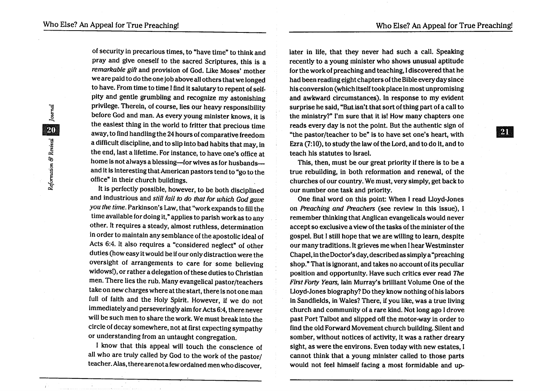of security in precarious times, to "have time" to think and pray and give oneself to the sacred Scriptures, this is a remarkable gift and provision of God. Like Moses' mother we are paid to do the one job above all others that we longed to have. From time to time I find it salutary to repent of selfpity and gentle grumbling and recognize my astonishing privilege. Therein, of course, lies our heavy responsibility before God and man. As every young minister knows, it is the easiest thing in the world to fritter that precious time away, to find handling the 24 hours of comparative freedom a difficult discipline, and to slip into bad habits that may, in the end, last a lifetime. For instance, to have one's office at home is not always a blessing-for wives as for husbands-and it is interesting that American pastors tend to "go to the office" in their church buildings.

It is perfectly possible, however, to be both disciplined and industrious and still fail *to* do that for which God gave you the time. Parkinson's Law, that "work expands to fill the time available for doing it," applies to parish work as to any other. It requires a steady, almost ruthless, determination in order to maintain any semblance of the apostolic ideal of Acts 6:4. It also requires a "considered neglect" of other duties (how easy it would be if our only distraction were the oversight of arrangements to care for some believing widows!), or rather a delegation of these duties to Christian men. There lies the rub. Many evangelical pastor/teachers take on new charges where at the start, there is not one man full of faith and the Holy Spirit. However, if we do not immediately and perseveringly aim for Acts 6:4, there never will be such men to share the work. We must break into the circle of decay somewhere, not at first expecting sympathy or understanding from an untaught congregation.

I know that this appeal will touch the conscience of all who are truly called by God to the work of the pastor/ teacher. Alas, there are not a few ordained men who discover,

later in life, that they never had such a call. Speaking recently to a young minister who shows unusual aptitude for the work of preaching and teaching, I discovered that he had been reading eight chapters of the Bible every day since his conversion (which itself took place in most unpromising and awkward circumstances). In response to my evident surprise he said, "But isn't that sort of thing part of a call to the ministry?" I'm sure that it is! How many chapters one reads every day is not the point. But the authentic sign of "the pastor/teacher to be" is to have set one's heart, with Ezra (7:10), to study the law of the Lord, and to do it, and to teach his statutes to Israel.

This, then, must be our great priority if there is to be a true rebuilding, in both reformation and renewal, of the churches of our country. We must, very simply, get back to our number one task and priority.

One final word on this point: When I read Lloyd-Jones on Preaching and Preachers (see review in this issue), I remember thinking that Anglican evangelicals would never accept so exclusive a view of the tasks of the minister of the gospel. But I still hope that we are willing to learn, despite our many traditions. It grieves me when I hear Westminster Chapel, in the Doctor's day, described as simply a "preaching shop." That is ignorant, and takes no account of its peculiar position and opportunity. Have such critics ever read The First Forty Years, lain Murray's brilliant Volume One of the Lloyd-Jones biography? Do they know nothing of his labors in Sandfields, in Wales? There, if you like, was a true living church and community of a rare kind. Not long ago I drove past Port Talbot and slipped off the motor-way in order to find the old Forward Movement church building. Silent and somber, without notices of activity, it was a rather dreary sight, as were the environs. Even today with new estates, I cannot think that a young minister called to· those parts would not feel himself facing a most formidable and up-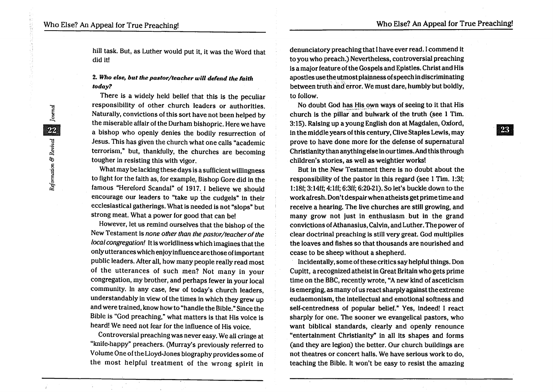23

hill task. But, as Luther would put it, it was the Word that did it!

### *2. Who else, but the pastor/teacher will defend the faith today?*

There is a widely held belief that this is the peculiar responsibility of other church leaders or authorities. Naturally, convictions of this sort have not been helped by the miserable affair of the Durham bishopric. Here we have a bishop who openly denies the bodily resurrection of Jesus. This has given the church what one calls "academic terrorism," but, thankfully, the churches are becoming tougher in resisting this with vigor.

What may be lacking these days is a sufficient willingness to fight for the faith as, for example, Bishop Gore did in the famous "Hereford Scandal" of 1917. I believe we should encourage our leaders to "take up the cudgels" in their ecclesiastical gatherings. What is needed is not "slops" but strong meat. What a power for good that can be!

However, let us remind ourselves that the bishop of the New Testament is none other than the pastor/teacher of the local congregation! It is worldliness which imagines that the only utterances which enjoy influence are those of important public leaders. After all, how many people really read most of the utterances of such men? Not many in your congregation, my brother, and perhaps fewer in your local community. In any case, few of today's church leaders, understandably in view of the times in which they grew up and were trained, know how to "handle the Bible." Since the Bible is "God preaching," what matters is that His voice is heard! We need not fear for the influence of His voice.

Controversial preaching was never easy. We all cringe at "knife-happy" preachers. (Murray's previously referred to Volume One of theLloyd-Jones biography provides some of the most helpful treatment of the wrong spirit in

denunciatory preaching that I have ever read. I commend it to you who preach.) Nevertheless, controversial preaching is a major feature of the Gospels and Epistles. Christ and His apostles use the utmost platnness of speech in discriminating between truth and error. We must dare, humbly but boldly, to follow.

No doubt God has His own ways of seeing to it that His church is the pillar and bulwark of the truth (see 1 Tim. 3: 15). Raising up a young English don at Magdalen, Oxford, in the middle years of this century, Clive Staples Lewis, may prove to have done more for the defense of supernatural Christianity than anything else in our times. And this through children's stories, as well as weightier works!

But in the New Testament there is no doubt about the responsibility of the pastor in this regard (see 1 Tim. 1:3f; 1:18f; 3: 14ff; 4:lff; 6:3ff; 6:20-21). So let's buckle down to the work afresh. Don't despair when atheists get prime time and receive a hearing. The live churches are still growing, and many grow not just in enthusiasm but in the grand convictions of Athanasius, Calvin, and Luther. The power of clear doctrinal preaching is still very great. God multiplies the loaves and fishes so that thousands are nourished and cease to be sheep without a shepherd.

InCidentally, some of these critics say helpful things. Don Cupitt, a recognized atheist in Great Britain who gets prime time on the BBC, recently wrote, "A new kind of asceticism is emerging, as many of us react sharply against the extreme eudaemonism, the intellectual and emotional softness and self-centredness of popular belief." Yes, indeed! I react sharply for one. The sooner we evangelical pastors, who want biblical standards, clearly and openly renounce "entertainment Christianity" in all its shapes and forms (and they are legion) the better. Our church buildings are not theatres or concert halls. We have serious work to do, teaching the Bible. It won't be easy to resist the amazing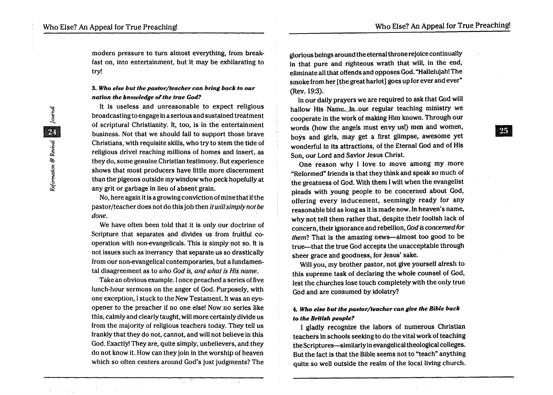modern pressure to turn almost everything, from breakfast on, into entertainment, but it may be exhilarating to try!

#### *3. Who else but the pastor/teacher can bring back to our nation the knowledge of the true God?*

It is useless and unreasonable to expect religious broadcasting to engage in a serious and sustained treatment of scriptural Christianity. It, too, is in the entertainment business. Not that we should fail to support those brave Christians, with requisite skills, who try to stem the tide of religious drivel reaching millions of homes and insert, as they do, some genuine Christian testimony. But experience shows that most producers have little more discernment than the pigeons outside my window who peck hopefully at any grit or garbage in lieu of absent grain.

No, here again it is a growing conviction of mine that if the pastor/teacher does not do this job then it will simply not be done.

We have often been told that it is only our doctrine of Scripture that separates and divides us from fruitful cooperation with non-evangelicals. This is simply not so. It is not issues such as inerrancy that separate us so drastically from our non-evangelical contemporaries, but a fundamental disagreement as to who God is, and what is His name.

Take an obvious example. I once preached a series of five lunch-hour sermons on the anger of God. Purposely, with one exception, I stuck to the New Testament. It was an eyeopener to the preacher if no one else! Now no series like this, calmly and clearly taught, will more certainly divide us from the majority of religious teachers today. They tell us frankly that they do not, cannot, and will not believe in this God. Exactly! They are, quite simply, unbelievers, and they do not know it. How can they join in the worship of heaven which so often centers around God's just judgments? The

glorious beings around the eternal throne rejoice continually in that pure and righteous wrath that will, in the end, eiiminate all that offends and opposes God. "Hallelujah! The smoke from her [the great harlot] goes up for ever and ever" (Rev. 19:3);

In our daily prayers we are required to ask that God will hallow His Name. In our regular teaching ministry we cooperate in the work of making Him known. Through our words (how the angels must envy us!) men and women, boys and girls, may get a first glimpse, awesome yet wonderful in its attractions, of the Eternal God and of His Son, our Lord and Savior Jesus Christ.

One reason why I love to move among my more "Reformed" friends is that they think and speak so much of the greatness of God. With them I wilt when the evangelist pleads with young people to be concerned about God, offering every inducement, seemingly ready for any reasonable bid as long as it is made now. In heaven's name, why not tell them rather that, despite their foolish lack of concern, their ignorance and rebellion, God is concerned for them? That is the amazing news—almost too good to be true—that the true God accepts the unacceptable through sheer grace and goodness, for Jesus' sake.

Will you, my brother pastor, not give yourself afresh to this supreme task of declaring the whole counsel of God, lest the churches lose touch completely with the only true God and are consumed by idolatry?

#### 4. Who else but the pastor/teacher can give the Bible back *to the British people?*

I gladly recognize the labors of numerous Christian teachers 1n schools seeking to do the vital work of teaching the Scriptures-similarly in evangelical theological colleges. But the fact is that the Bible seems not to "teach" anything quite so well outside the realm of the local living church.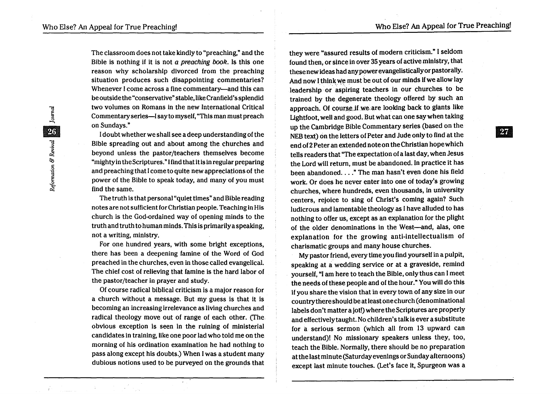The classroom does not take kindly to "preaching," and the Bible is nothing if it is not a preaching book. Is this one reason why scholarship divorced from the preaching situation produces such disappointing commentaries? Whenever I come across a fine commentary-and this can be outside the "conservative" stable, like Cranfield's splendid two volumes on Romans in the new International Critical Commentary series-I say to myself, "This man must preach on Sundays."

I doubt whether we shall see a deep understanding of the Bible spreading out and about among the churches and beyond unless the pastor/teachers themselves become "mighty in the Scriptures." I find that it is in regular preparing and preaching that I come to quite new appreciations of the power of the Bible to speak today, and many of you must find the same.

The truth is that personal "quiet times" and Bible reading notes are not sufficient for Christian people. Teaching in His church is the God-ordained way of opening minds to the truth and truth to human minds. This is primarily a speaking, not a writing, ministry.

For one hundred years, with some bright exceptions, there has been a deepening famine of the Word of God preached in the churches, even in those called evangelical. The chief cost of relieving that famine is the hard labor of the pastor/teacher in prayer and study.

Of course radical biblical criticism is a major reason for a church without a message. But my guess is that it is becoming an increasing irrelevance as living churches and radical theology move out of range of each other. (fhe obvious exception is seen in the ruining of ministerial candidates in training, like one poor lad who told me on the morning of his ordination examination he had nothing to pass along except his doubts.) When I was a student many dubious notions used to be purveyed on the grounds that they were "assured results of modern criticism." I seldom found then, or since in over 35 years of active ministry, that these new ideas had any power evangelistically or pastorally. And now I think we must be out of our minds if we allow lay leadership or aspiring teachers in our churches to be trained by the degenerate theology offered by such an approach. Of course if we are looking back to giants like Lightfoot, well and good. But what can one say when taking up the Cambridge Bible Commentary series (based on the NEB text) on the letters of Peter and Jude only to find at the end of 2 Peter an extended note on the Christian hope which tells readers that "The expectation of a last day, when Jesus the Lord will return, must be abandoned. In practice it has been abandoned...." The man hasn't even done his field work. Or does he never enter into one of today's growing churches, where hundreds, even thousands, in university centers, rejoice to sing of Christ's coming again? Such ludicrous and lamentable theology as I have alluded to has nothing to offer us, except as an explanation for the plight of the older denominations in the West-and, alas, one explanation for the growing anti-intellectualism of charismatic groups and many house churches.

My pastor friend, every time you find yourself in a pulpit, speaking at a wedding service or at a graveside, remind yourself, "I am here to teach the Bible, only thus can I meet the needs of these people and of the hour." You will do this if you share the vision that in every town of any size in our country there should be at least one church (denominational labels don't matter a jot!) where the Scriptures are properly and effectively taught. No children's talk is ever a substitute for a serious sermon (which all from 13 upward can understand)! No missionary speakers unless they, too, teach the Bible. Normally, there should be no preparation at the last minute (Saturday evenings or Sunday afternoons) except last minute touches. (Let's face it, Spurgeon was a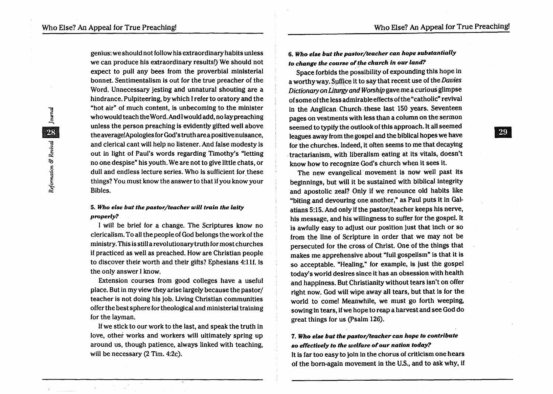genius:we should not follow his extraordinary habits unless we can produce his extraordinary results!) We should not expect to pull any bees from the proverbial ministerial bonnet. Sentimentalism is out for the true preacher of the Word. Unnecessary jesting and unnatural shouting are a hindrance. Pulpiteering, by which I refer to oratory and the "hot air" of much content, is unbecoming to the minister who would teach the Word. And I would add, no laypreaching unless the person preaching is evidently gifted well above the average!Apologies for God's truth are a positive nuisance, and clerical cant will help no listener. And false modesty is out in light of Paul's words regarding Timothy's "letting no one despise" his youth.We are not to give little chats, or dull and endless lecture series. Who is sufficient for these things? You must know the answer to that if you know your Bibles.

#### *5. Who else but the pastor/teacher will train the laily properly?*

I will be brief for a change. The Scriptures know no clericalism. To all the people of God belongs the work of the ministry. This is still a revol utionarytruth for most churches if practiced as well as preached. How are Christian people to discover their worth and their gifts? Ephesians 4:1lf. is the only answer I know.

Extension courses from good colleges have a useful place. But in my view they arise largely because the pastor/ teacher is not doing his job. Uving Christian communities offer the best sphere for theological and ministerial training for the layman.

If we stick to our work to the last, and speak the truth in love, other works and workers will ultimately spring up around us, though patience, always linked with teaching, will be necessary (2 Tim. 4:2c).

*6. Who else but the pastor/teacher can hope substantially to change the course of the church in our land?* 

Space forbids the possibility of expounding this hope in a worthy way. Suffice it to say that recent use of the Davies Dictionary on Liturgy and Worship gave me a curious glimpse of some of the less admirable effects of the "catholic" revival in the Anglican Church these last 150 years. Seventeen pages on vestments with less than a column on the sermon seemed to typify the outlook of this approach. It all seemed leagues away from the gospel and the biblical hopes we have for the churches. Indeed, it often seems to me that decaying . tractarianism, with liberalism eating at its vitals, doesn't know how to recognize God's church when it sees it.

The new evangelical' movement is now well past its beginnings, but will it be sustained with biblical integrity and apostolic zeal? Only if we renounce old habits like "biting and devouring one another," as Paul puts it in Galatians 5:15. And only if the pastor/teacher keeps his nerve, his message, and his willingness to suffer for the gospel. It is awfully easy to adjust our position just that inch or so from the line of Scripture in order that we may not be persecuted for the cross of Christ. One of the things that makes me apprehensive about "full gospelism" is that it is so acceptable. "Healing," for example, is just the gospel today's world desires since it has an obsession with health and happiness. But Christianity without tears isn't on offer right now. God will wipe away all tears, but that is for the world to come! Meanwhile, we must go forth weeping, sowing in tears, if we hope to reap a harvest and see God do great things for us (Psalm 126).

## *7. Who else but the pastor/teacher can hope to contribute so effectively to the welfare* of *our nation today?*

It is far too easy to join in the chorus of criticism one hears of the born-again movement in the U.S., and to ask why, if **29**